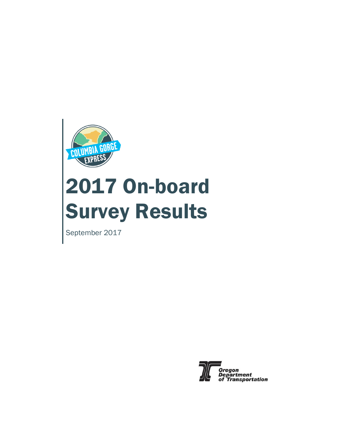

# 2017 On-board Survey Results

September 2017

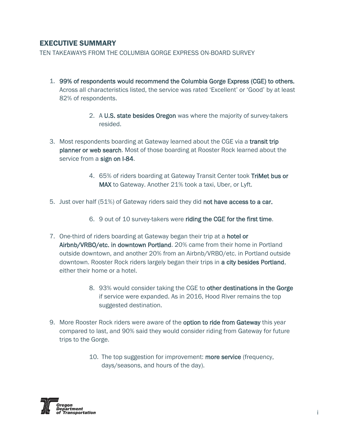#### EXECUTIVE SUMMARY

TEN TAKEAWAYS FROM THE COLUMBIA GORGE EXPRESS ON-BOARD SURVEY

- 1. 99% of respondents would recommend the Columbia Gorge Express (CGE) to others. Across all characteristics listed, the service was rated 'Excellent' or 'Good' by at least 82% of respondents.
	- 2. A U.S. state besides Oregon was where the majority of survey-takers resided.
- 3. Most respondents boarding at Gateway learned about the CGE via a transit trip planner or web search. Most of those boarding at Rooster Rock learned about the service from a sign on I-84.
	- 4. 65% of riders boarding at Gateway Transit Center took TriMet bus or MAX to Gateway. Another 21% took a taxi, Uber, or Lyft.
- 5. Just over half (51%) of Gateway riders said they did not have access to a car.
	- 6. 9 out of 10 survey-takers were riding the CGE for the first time.
- 7. One-third of riders boarding at Gateway began their trip at a hotel or Airbnb/VRBO/etc. in downtown Portland. 20% came from their home in Portland outside downtown, and another 20% from an Airbnb/VRBO/etc. in Portland outside downtown. Rooster Rock riders largely began their trips in a city besides Portland, either their home or a hotel.
	- 8. 93% would consider taking the CGE to other destinations in the Gorge if service were expanded. As in 2016, Hood River remains the top suggested destination.
- 9. More Rooster Rock riders were aware of the **option to ride from Gateway** this year compared to last, and 90% said they would consider riding from Gateway for future trips to the Gorge.
	- 10. The top suggestion for improvement: more service (frequency, days/seasons, and hours of the day).

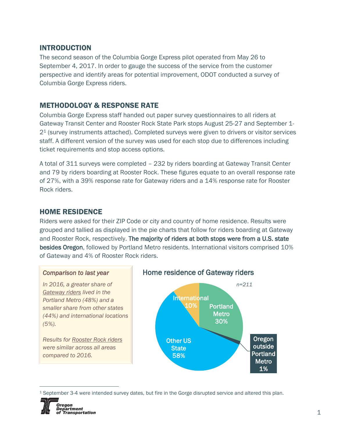#### INTRODUCTION

The second season of the Columbia Gorge Express pilot operated from May 26 to September 4, 2017. In order to gauge the success of the service from the customer perspective and identify areas for potential improvement, ODOT conducted a survey of Columbia Gorge Express riders.

## METHODOLOGY & RESPONSE RATE

Columbia Gorge Express staff handed out paper survey questionnaires to all riders at Gateway Transit Center and Rooster Rock State Park stops August 25-27 and September 1- 2<sup>1</sup> (survey instruments attached). Completed surveys were given to drivers or visitor services staff. A different version of the survey was used for each stop due to differences including ticket requirements and stop access options.

A total of 311 surveys were completed – 232 by riders boarding at Gateway Transit Center and 79 by riders boarding at Rooster Rock. These figures equate to an overall response rate of 27%, with a 39% response rate for Gateway riders and a 14% response rate for Rooster Rock riders.

#### HOME RESIDENCE

Riders were asked for their ZIP Code or city and country of home residence. Results were grouped and tallied as displayed in the pie charts that follow for riders boarding at Gateway and Rooster Rock, respectively. The majority of riders at both stops were from a U.S. state besides Oregon, followed by Portland Metro residents. International visitors comprised 10% of Gateway and 4% of Rooster Rock riders.

#### *Comparison to last year*

*In 2016, a greater share of Gateway riders lived in the Portland Metro (48%) and a smaller share from other states (44%) and international locations (5%).*

*Results for Rooster Rock riders were similar across all areas compared to 2016.* 

#### Home residence of Gateway riders



<sup>1</sup> September 3-4 were intended survey dates, but fire in the Gorge disrupted service and altered this plan.



 $\overline{a}$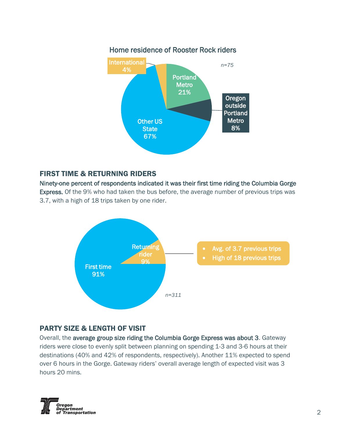

# FIRST TIME & RETURNING RIDERS

Ninety-one percent of respondents indicated it was their first time riding the Columbia Gorge Express. Of the 9% who had taken the bus before, the average number of previous trips was 3.7, with a high of 18 trips taken by one rider.



# PARTY SIZE & LENGTH OF VISIT

Overall, the average group size riding the Columbia Gorge Express was about 3. Gateway riders were close to evenly split between planning on spending 1-3 and 3-6 hours at their destinations (40% and 42% of respondents, respectively). Another 11% expected to spend over 6 hours in the Gorge. Gateway riders' overall average length of expected visit was 3 hours 20 mins.

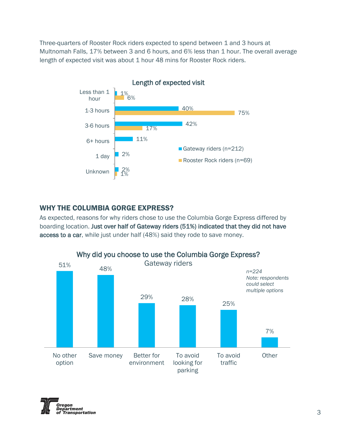Three-quarters of Rooster Rock riders expected to spend between 1 and 3 hours at Multnomah Falls, 17% between 3 and 6 hours, and 6% less than 1 hour. The overall average length of expected visit was about 1 hour 48 mins for Rooster Rock riders.



# WHY THE COLUMBIA GORGE EXPRESS?

As expected, reasons for why riders chose to use the Columbia Gorge Express differed by boarding location. Just over half of Gateway riders (51%) indicated that they did not have access to a car, while just under half (48%) said they rode to save money.



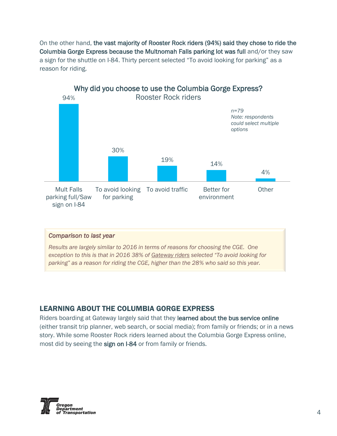On the other hand, the vast majority of Rooster Rock riders (94%) said they chose to ride the Columbia Gorge Express because the Multnomah Falls parking lot was full and/or they saw a sign for the shuttle on I-84. Thirty percent selected "To avoid looking for parking" as a reason for riding.



#### *Comparison to last year*

*Results are largely similar to 2016 in terms of reasons for choosing the CGE. One exception to this is that in 2016 38% of Gateway riders selected "To avoid looking for parking" as a reason for riding the CGE, higher than the 28% who said so this year.*

#### LEARNING ABOUT THE COLUMBIA GORGE EXPRESS

Riders boarding at Gateway largely said that they learned about the bus service online (either transit trip planner, web search, or social media); from family or friends; or in a news story. While some Rooster Rock riders learned about the Columbia Gorge Express online, most did by seeing the sign on I-84 or from family or friends.

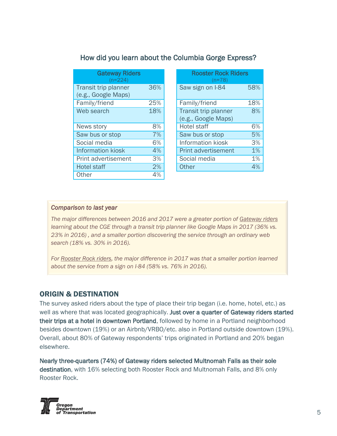| <b>Gateway Riders</b><br>$(n=224)$          |     | <b>Rooster Rock Riders</b><br>$(n=78)$            |
|---------------------------------------------|-----|---------------------------------------------------|
| Transit trip planner<br>(e.g., Google Maps) | 36% | Saw sign on I-84<br>58%                           |
| Family/friend                               | 25% | Family/friend<br>18%                              |
| Web search                                  | 18% | Transit trip planner<br>8%<br>(e.g., Google Maps) |
| News story                                  | 8%  | <b>Hotel staff</b><br>6%                          |
| Saw bus or stop                             | 7%  | Saw bus or stop<br>5%                             |
| Social media                                | 6%  | <b>Information kiosk</b><br>3%                    |
| <b>Information kiosk</b>                    | 4%  | 1%<br><b>Print advertisement</b>                  |
| Print advertisement                         | 3%  | 1%<br>Social media                                |
| <b>Hotel staff</b>                          | 2%  | 4%<br>Other                                       |
| Other                                       | 4%  |                                                   |

|     | <b>Rooster Rock Riders</b><br>$(n=78)$ |     |
|-----|----------------------------------------|-----|
| 36% | Saw sign on I-84                       | 58% |
| 25% | Family/friend                          | 18% |
| 18% | Transit trip planner                   | 8%  |
|     | (e.g., Google Maps)                    |     |
| 8%  | <b>Hotel staff</b>                     | 6%  |
| 7%  | Saw bus or stop                        | 5%  |
| 6%  | <b>Information kiosk</b>               | 3%  |
| 4%  | <b>Print advertisement</b>             | 1%  |
| 3%  | Social media                           | 1%  |
| 2%  | Other                                  | 4%  |
|     |                                        |     |

#### *Comparison to last year*

*The major differences between 2016 and 2017 were a greater portion of Gateway riders learning about the CGE through a transit trip planner like Google Maps in 2017 (36% vs. 23% in 2016) , and a smaller portion discovering the service through an ordinary web search (18% vs. 30% in 2016).*

*For Rooster Rock riders, the major difference in 2017 was that a smaller portion learned about the service from a sign on I-84 (58% vs. 76% in 2016).*

#### ORIGIN & DESTINATION

The survey asked riders about the type of place their trip began (i.e. home, hotel, etc.) as well as where that was located geographically. Just over a quarter of Gateway riders started their trips at a hotel in downtown Portland, followed by home in a Portland neighborhood besides downtown (19%) or an Airbnb/VRBO/etc. also in Portland outside downtown (19%). Overall, about 80% of Gateway respondents' trips originated in Portland and 20% began elsewhere.

Nearly three-quarters (74%) of Gateway riders selected Multnomah Falls as their sole destination, with 16% selecting both Rooster Rock and Multnomah Falls, and 8% only Rooster Rock.

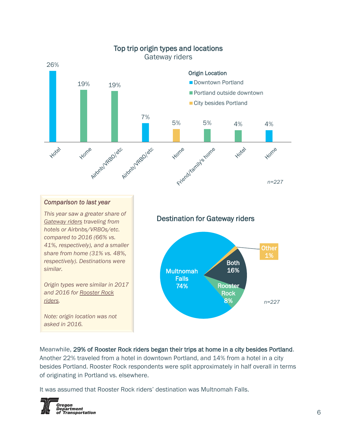

# Top trip origin types and locations

#### *Comparison to last year*

*This year saw a greater share of Gateway riders traveling from hotels or Airbnbs/VRBOs/etc. compared to 2016 (66% vs. 41%, respectively), and a smaller share from home (31% vs. 48%, respectively). Destinations were similar.*

*Origin types were similar in 2017 and 2016 for Rooster Rock riders.* 

*Note: origin location was not asked in 2016.*

#### Destination for Gateway riders



Meanwhile, 29% of Rooster Rock riders began their trips at home in a city besides Portland. Another 22% traveled from a hotel in downtown Portland, and 14% from a hotel in a city besides Portland. Rooster Rock respondents were split approximately in half overall in terms of originating in Portland vs. elsewhere.

It was assumed that Rooster Rock riders' destination was Multnomah Falls.

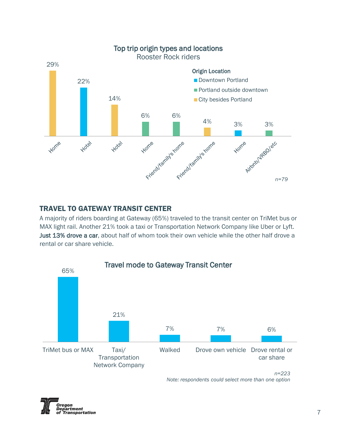

# TRAVEL TO GATEWAY TRANSIT CENTER

A majority of riders boarding at Gateway (65%) traveled to the transit center on TriMet bus or MAX light rail. Another 21% took a taxi or Transportation Network Company like Uber or Lyft. Just 13% drove a car, about half of whom took their own vehicle while the other half drove a rental or car share vehicle.



*Note: respondents could select more than one option*

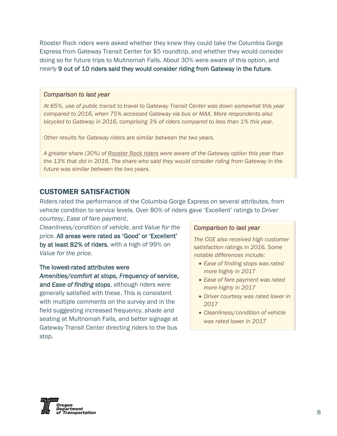Rooster Rock riders were asked whether they knew they could take the Columbia Gorge Express from Gateway Transit Center for \$5 roundtrip, and whether they would consider doing so for future trips to Multnomah Falls. About 30% were aware of this option, and nearly 9 out of 10 riders said they would consider riding from Gateway in the future.

#### *Comparison to last year*

*At 65%, use of public transit to travel to Gateway Transit Center was down somewhat this year compared to 2016, when 75% accessed Gateway via bus or MAX. More respondents also bicycled to Gateway in 2016, comprising 3% of riders compared to less than 1% this year.* 

*Other results for Gateway riders are similar between the two years.*

*A greater share (30%) of Rooster Rock riders were aware of the Gateway option this year than the 13% that did in 2016. The share who said they would consider riding from Gateway in the future was similar between the two years.*

#### CUSTOMER SATISFACTION

Riders rated the performance of the Columbia Gorge Express on several attributes, from vehicle condition to service levels. Over 80% of riders gave 'Excellent' ratings to *Driver courtesy*, *Ease of fare payment*,

*Cleanliness/condition of vehicle*, and *Value for the price*. All areas were rated as 'Good' or 'Excellent' by at least 82% of riders, with a high of 99% on *Value for the price*.

#### The lowest-rated attributes were

*Amenities/comfort at stops, Frequency of service*, and *Ease of finding stops*, although riders were generally satisfied with these. This is consistent with multiple comments on the survey and in the field suggesting increased frequency, shade and seating at Multnomah Falls, and better signage at Gateway Transit Center directing riders to the bus stop.

#### *Comparison to last year*

*The CGE also received high customer satisfaction ratings in 2016. Some notable differences include:*

- *Ease of finding stops was rated more highly in 2017*
- *Ease of fare payment was rated more highly in 2017*
- *Driver courtesy was rated lower in 2017*
- *Cleanliness/condition of vehicle was rated lower in 2017*

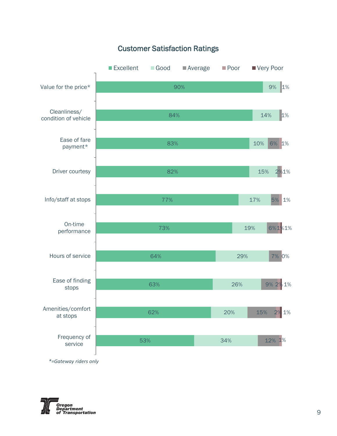

Customer Satisfaction Ratings



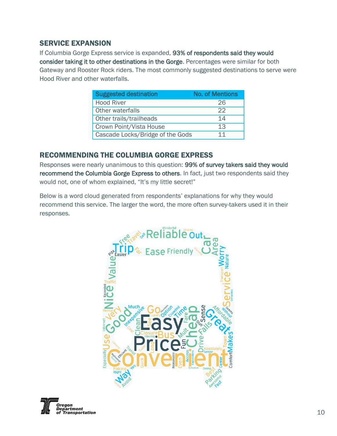#### SERVICE EXPANSION

If Columbia Gorge Express service is expanded, 93% of respondents said they would consider taking it to other destinations in the Gorge. Percentages were similar for both Gateway and Rooster Rock riders. The most commonly suggested destinations to serve were Hood River and other waterfalls.

| <b>Suggested destination</b>     | <b>No. of Mentions</b> |
|----------------------------------|------------------------|
| <b>Hood River</b>                | 26                     |
| Other waterfalls                 | つつ                     |
| Other trails/trailheads          | 14                     |
| Crown Point/Vista House          | 13                     |
| Cascade Locks/Bridge of the Gods | 11                     |

## RECOMMENDING THE COLUMBIA GORGE EXPRESS

Responses were nearly unanimous to this question: 99% of survey takers said they would recommend the Columbia Gorge Express to others. In fact, just two respondents said they would not, one of whom explained, "It's my little secret!"

Below is a word cloud generated from respondents' explanations for why they would recommend this service. The larger the word, the more often survey-takers used it in their responses.